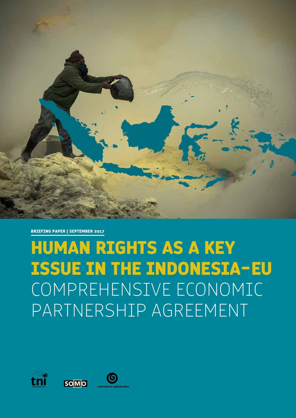

**BRIEFING PAPER | SEPTEMBER 2017**

## **HUMAN RIGHTS AS A KEY ISSUE IN THE INDONESIA-EU**  COMPREHENSIVE ECONOMIC PARTNERSHIP AGREEMENT





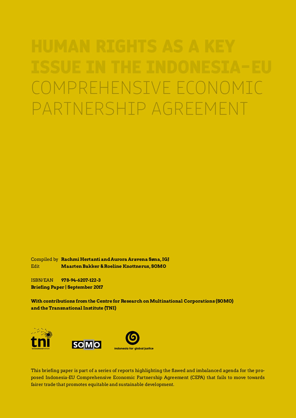# COMPREHENSIVE ECONOMIC PARTNERSHIP AGREEMENT

Compiled by **Rachmi Hertanti and Aurora Aravena Søna, IGJ** Edit **Maarten Bakker & Roeline Knottnerus, SOMO**

ISBN/EAN **978-94-6207-122-3 Briefing Paper | September 2017**

**With contributions from the Centre for Research on Multinational Corporations (SOMO) and the Transnational Institute (TNI)**



This briefing paper is part of a series of reports highlighting the flawed and imbalanced agenda for the proposed Indonesia-EU Comprehensive Economic Partnership Agreement (CEPA) that fails to move towards fairer trade that promotes equitable and sustainable development.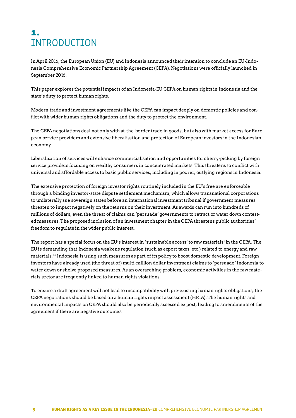## **1.**  INTRODUCTION

In April 2016, the European Union (EU) and Indonesia announced their intention to conclude an EU-Indonesia Comprehensive Economic Partnership Agreement (CEPA). Negotiations were officially launched in September 2016.

This paper explores the potential impacts of an Indonesia-EU CEPA on human rights in Indonesia and the state's duty to protect human rights.

Modern trade and investment agreements like the CEPA can impact deeply on domestic policies and conflict with wider human rights obligations and the duty to protect the environment.

The CEPA negotiations deal not only with at-the-border trade in goods, but also with market access for European service providers and extensive liberalisation and protection of European investors in the Indonesian economy.

Liberalisation of services will enhance commercialisation and opportunities for cherry-picking by foreign service providers focusing on wealthy consumers in concentrated markets. This threatens to conflict with universal and affordable access to basic public services, including in poorer, outlying regions in Indonesia.

The extensive protection of foreign investor rights routinely included in the EU's free are enforceable through a binding investor-state dispute settlement mechanism, which allows transnational corporations to unilaterally sue sovereign states before an international investment tribunal if government measures threaten to impact negatively on the returns on their investment. As awards can run into hundreds of millions of dollars, even the threat of claims can 'persuade' governments to retract or water down contested measures. The proposed inclusion of an investment chapter in the CEPA threatens public authorities' freedom to regulate in the wider public interest.

The report has a special focus on the EU's interest in 'sustainable access' to raw materials<sup>1</sup> in the CEPA. The EU is demanding that Indonesia weakens regulation (such as export taxes, etc.) related to energy and raw materials.2,3 Indonesia is using such measures as part of its policy to boost domestic development. Foreign investors have already used (the threat of) multi-million dollar investment claims to 'persuade' Indonesia to water down or shelve proposed measures. As an overarching problem, economic activities in the raw materials sector are frequently linked to human rights violations.

To ensure a draft agreement will not lead to incompatibility with pre-existing human rights obligations, the CEPA negotiations should be based on a human rights impact assessment (HRIA). The human rights and environmental impacts on CEPA should also be periodically assessed ex post, leading to amendments of the agreement if there are negative outcomes.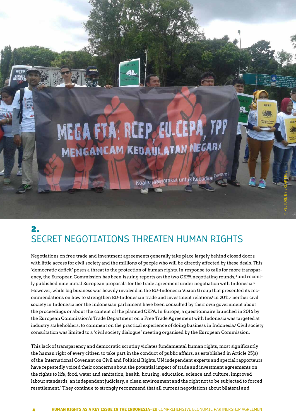

Koalis Masyarakat untuk Kedadilar Ekonomi

© PICTURE BY BREAK FREE

## **2.**  SECRET NEGOTIATIONS THREATEN HUMAN RIGHTS

Negotiations on free trade and investment agreements generally take place largely behind closed doors, with little access for civil society and the millions of people who will be directly affected by these deals. This 'democratic deficit' poses a threat to the protection of human rights. In response to calls for more transparency, the European Commission has been issuing reports on the two CEPA negotiating rounds,<sup>4</sup> and recently published nine initial European proposals for the trade agreement under negotiation with Indonesia.<sup>5</sup> However, while big business was heavily involved in the EU-Indonesia Vision Group that presented its recommendations on how to strengthen EU-Indonesian trade and investment relations<sup>6</sup> in 2011,<sup>7</sup> neither civil society in Indonesia nor the Indonesian parliament have been consulted by their own government about the proceedings or about the content of the planned CEPA. In Europe, a questionnaire launched in 2016 by the European Commission's Trade Department on a Free Trade Agreement with Indonesia was targeted at industry stakeholders, to comment on the practical experience of doing business in Indonesia.8 Civil society consultation was limited to a 'civil society dialogue' meeting organised by the European Commission.

This lack of transparency and democratic scrutiny violates fundamental human rights, most significantly the human right of every citizen to take part in the conduct of public affairs, as established in Article 25(a) of the International Covenant on Civil and Political Rights. UN independent experts and special rapporteurs have repeatedly voiced their concerns about the potential impact of trade and investment agreements on the rights to life, food, water and sanitation, health, housing, education, science and culture, improved labour standards, an independent judiciary, a clean environment and the right not to be subjected to forced resettlement.<sup>9</sup> They continue to strongly recommend that all current negotiations about bilateral and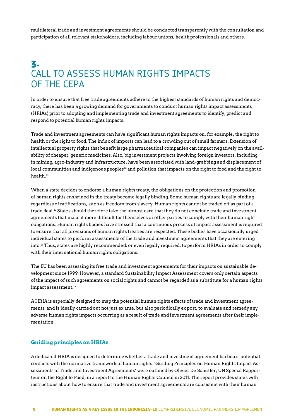multilateral trade and investment agreements should be conducted transparently with the consultation and participation of all relevant stakeholders, including labour unions, health professionals and others.

## **3.**  CALL TO ASSESS HUMAN RTGHTS IMPACTS OF THE CEPA

In order to ensure that free trade agreements adhere to the highest standards of human rights and democracy, there has been a growing demand for governments to conduct human rights impact assessments (HRIAs) prior to adopting and implementing trade and investment agreements to identify, predict and respond to potential human rights impacts.

Trade and investment agreements can have significant human rights impacts on, for example, the right to health or the right to food. The influx of imports can lead to a crowding out of small farmers. Extension of intellectual property rights that benefit large pharmaceutical companies can impact negatively on the availability of cheaper, generic medicines. Also, big investment projects involving foreign investors, including in mining, agro-industry and infrastructure, have been associated with land-grabbing and displacement of local communities and indigenous peoples<sup>10</sup> and pollution that impacts on the right to food and the right to health.<sup>11</sup>

When a state decides to endorse a human rights treaty, the obligations on the protection and promotion of human rights enshrined in the treaty become legally binding. Some human rights are legally binding regardless of ratifications, such as freedom from slavery. Human rights cannot be traded off as part of a trade deal.<sup>12</sup> States should therefore take the utmost care that they do not conclude trade and investment agreements that make it more difficult for themselves or other parties to comply with their human right obligations. Human rights bodies have stressed that a continuous process of impact assessment is required to ensure that all provisions of human rights treaties are respected. These bodies have occasionally urged individual states to perform assessments of the trade and investment agreements that they are entering into.13 Thus, states are highly recommended, or even legally required, to perform HRIAs in order to comply with their international human rights obligations.

The EU has been assessing its free trade and investment agreements for their impacts on sustainable development since 1999. However, a standard Sustainability Impact Assessment covers only certain aspects of the impact of such agreements on social rights and cannot be regarded as a substitute for a human rights impact assessment.<sup>14</sup>

A HRIA is especially designed to map the potential human rights effects of trade and investment agreements, and is ideally carried out not just ex ante, but also periodically ex post, to evaluate and remedy any adverse human rights impacts occurring as a result of trade and investment agreements after their implementation.

#### **Guiding principles on HRIAs**

A dedicated HRIA is designed to determine whether a trade and investment agreement harbours potential conflicts with the normative framework of human rights. 'Guiding Principles on Human Rights Impact Assessments of Trade and Investment Agreements' were outlined by Olivier De Schutter, UN Special Rapporteur on the Right to Food, in a report to the Human Rights Council in 2011. The report provides states with instructions about how to ensure that trade and investment agreements are consistent with their human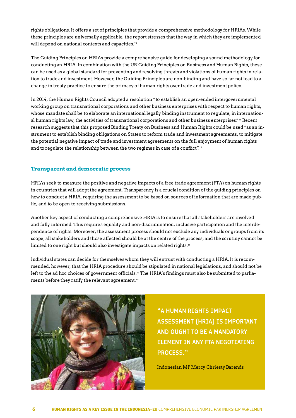rights obligations. It offers a set of principles that provide a comprehensive methodology for HRIAs. While these principles are universally applicable, the report stresses that the way in which they are implemented will depend on national contexts and capacities.<sup>15</sup>

The Guiding Principles on HRIAs provide a comprehensive guide for developing a sound methodology for conducting an HRIA. In combination with the UN Guiding Principles on Business and Human Rights, these can be used as a global standard for preventing and resolving threats and violations of human rights in relation to trade and investment. However, the Guiding Principles are non-binding and have so far not lead to a change in treaty practice to ensure the primacy of human rights over trade and investment policy.

In 2014, the Human Rights Council adopted a resolution "to establish an open-ended intergovernmental working group on transnational corporations and other business enterprises with respect to human rights, whose mandate shall be to elaborate an international legally binding instrument to regulate, in international human rights law, the activities of transnational corporations and other business enterprises."<sup>16</sup> Recent research suggests that this proposed Binding Treaty on Business and Human Rights could be used "as an instrument to establish binding obligations on States to reform trade and investment agreements, to mitigate the potential negative impact of trade and investment agreements on the full enjoyment of human rights and to regulate the relationship between the two regimes in case of a conflict".<sup>17</sup>

#### **Transparent and democratic process**

HRIAs seek to measure the positive and negative impacts of a free trade agreement (FTA) on human rights in countries that will adopt the agreement. Transparency is a crucial condition of the guiding principles on how to conduct a HRIA, requiring the assessment to be based on sources of information that are made public, and to be open to receiving submissions.

Another key aspect of conducting a comprehensive HRIA is to ensure that all stakeholders are involved and fully informed. This requires equality and non-discrimination, inclusive participation and the interdependence of rights. Moreover, the assessment process should not exclude any individuals or groups from its scope; all stakeholders and those affected should be at the centre of the process, and the scrutiny cannot be limited to one right but should also investigate impacts on related rights.<sup>18</sup>

Individual states can decide for themselves whom they will entrust with conducting a HRIA. It is recommended, however, that the HRIA procedure should be stipulated in national legislations, and should not be left to the ad hoc choices of government officials.<sup>19</sup> The HRIA's findings must also be submitted to parliaments before they ratify the relevant agreement.<sup>20</sup>



**"A HUMAN RIGHTS IMPACT ASSESSMENT (HRIA) IS IMPORTANT AND OUGHT TO BE A MANDATORY ELEMENT IN ANY FTA NEGOTIATING PROCESS."** 

Indonesian MP Mercy Chriesty Barends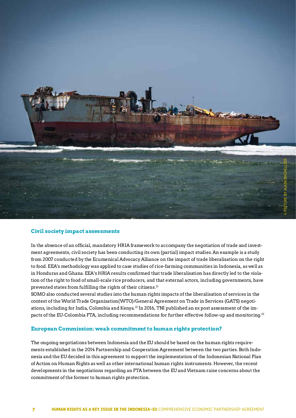

#### **Civil society impact assessments**

In the absence of an official, mandatory HRIA framework to accompany the negotiation of trade and investment agreements, civil society has been conducting its own (partial) impact studies. An example is a study from 2007 conducted by the Ecumenical Advocacy Alliance on the impact of trade liberalisation on the right to food. EEA's methodology was applied to case studies of rice-farming communities in Indonesia, as well as in Honduras and Ghana. EEA's HRIA results confirmed that trade liberalisation has directly led to the violation of the right to food of small-scale rice producers, and that external actors, including governments, have prevented states from fulfilling the rights of their citizens.<sup>21</sup>

SOMO also conducted several studies into the human rights impacts of the liberalisation of services in the context of the World Trade Organization(WTO)/General Agreement on Trade in Services (GATS) negotiations, including for India, Colombia and Kenya.<sup>22</sup> In 2016, TNI published an ex post assessment of the impacts of the EU-Colombia FTA, including recommendations for further effective follow-up and monitoring.<sup>23</sup>

#### **European Commission: weak commitment to human rights protection?**

The ongoing negotiations between Indonesia and the EU should be based on the human rights requirements established in the 2014 Partnership and Cooperation Agreement between the two parties. Both Indonesia and the EU decided in this agreement to support the implementation of the Indonesian National Plan of Action on Human Rights as well as other international human rights instruments. However, the recent developments in the negotiations regarding an FTA between the EU and Vietnam raise concerns about the commitment of the former to human rights protection.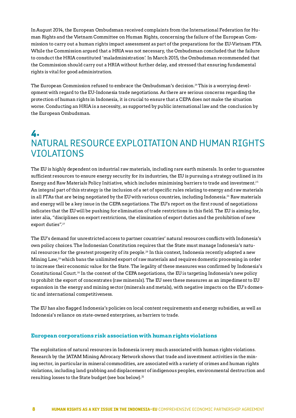In August 2014, the European Ombudsman received complaints from the International Federation for Human Rights and the Vietnam Committee on Human Rights, concerning the failure of the European Commission to carry out a human rights impact assessment as part of the preparations for the EU-Vietnam FTA. While the Commission argued that a HRIA was not necessary, the Ombudsman concluded that the failure to conduct the HRIA constituted 'maladministration'. In March 2015, the Ombudsman recommended that the Commission should carry out a HRIA without further delay, and stressed that ensuring fundamental rights is vital for good administration.

The European Commission refused to embrace the Ombudsman's decision.24 This is a worrying development with regard to the EU-Indonesia trade negotiations. As there are serious concerns regarding the protection of human rights in Indonesia, it is crucial to ensure that a CEPA does not make the situation worse. Conducting an HRIA is a necessity, as supported by public international law and the conclusion by the European Ombudsman.

## **4.**  NATURAL RESOURCE EXPLOITATION AND HUMAN RIGHTS VIOLATIONS

The EU is highly dependent on industrial raw materials, including rare earth minerals. In order to guarantee sufficient resources to ensure energy security for its industries, the EU is pursuing a strategy outlined in its Energy and Raw Materials Policy Initiative, which includes minimising barriers to trade and investment.<sup>25</sup> An integral part of this strategy is the inclusion of a set of specific rules relating to energy and raw materials in all FTAs that are being negotiated by the EU with various countries, including Indonesia.<sup>26</sup> Raw materials and energy will be a key issue in the CEPA negotiations. The EU's report on the first round of negotiations indicates that the EU will be pushing for elimination of trade restrictions in this field. The EU is aiming for, inter alia, "disciplines on export restrictions, the elimination of export duties and the prohibition of new export duties".<sup>27</sup>

The EU's demand for unrestricted access to partner countries' natural resources conflicts with Indonesia's own policy choices. The Indonesian Constitution requires that the State must manage Indonesia's natural resources for the greatest prosperity of its people.28 In this context, Indonesia recently adopted a new Mining Law,29 which bans the unlimited export of raw materials and requires domestic processing in order to increase their economic value for the State. The legality of these measures was confirmed by Indonesia's Constitutional Court.30 In the context of the CEPA negotiations, the EU is targeting Indonesia's new policy to prohibit the export of concentrates (raw minerals). The EU sees these measures as an impediment to EU expansion in the energy and mining sector (minerals and metals), with negative impacts on the EU's domestic and international competitiveness.

The EU has also flagged Indonesia's policies on local content requirements and energy subsidies, as well as Indonesia's reliance on state-owned enterprises, as barriers to trade.

#### **European corporations risk association with human rights violations**

The exploitation of natural resources in Indonesia is very much associated with human rights violations. Research by the JATAM Mining Advocacy Network shows that trade and investment activities in the mining sector, in particular in mineral commodities, are associated with a variety of crimes and human rights violations, including land grabbing and displacement of indigenous peoples, environmental destruction and resulting losses to the State budget (see box below).<sup>31</sup>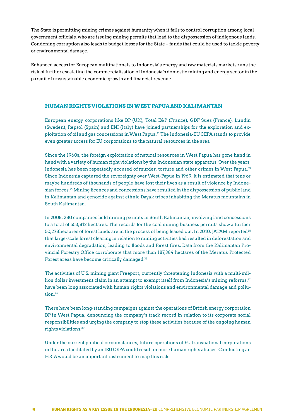The State is permitting mining crimes against humanity when it fails to control corruption among local government officials, who are issuing mining permits that lead to the dispossession of indigenous lands. Condoning corruption also leads to budget losses for the State – funds that could be used to tackle poverty or environmental damage.

Enhanced access for European multinationals to Indonesia's energy and raw materials markets runs the risk of further escalating the commercialisation of Indonesia's domestic mining and energy sector in the pursuit of unsustainable economic growth and financial revenue.

#### **HUMAN RIGHTS VIOLATIONS IN WEST PAPUA AND KALIMANTAN**

European energy corporations like BP (UK), Total E&P (France), GDF Suez (France), Lundin (Sweden), Repsol (Spain) and ENI (Italy) have joined partnerships for the exploration and exploitation of oil and gas concessions in West Papua.32 The Indonesia-EU CEPA stands to provide even greater access for EU corporations to the natural resources in the area.

Since the 1960s, the foreign exploitation of natural resources in West Papua has gone hand in hand with a variety of human right violations by the Indonesian state apparatus. Over the years, Indonesia has been repeatedly accused of murder, torture and other crimes in West Papua.33 Since Indonesia captured the sovereignty over West-Papua in 1969, it is estimated that tens or maybe hundreds of thousands of people have lost their lives as a result of violence by Indonesian forces.34 Mining licences and concessions have resulted in the dispossession of public land in Kalimantan and genocide against ethnic Dayak tribes inhabiting the Meratus mountains in South Kalimantan.

In 2008, 280 companies held mining permits in South Kalimantan, involving land concessions to a total of 553,812 hectares. The records for the coal mining business permits show a further 50,278 hectares of forest lands are in the process of being leased out. In 2010, JATAM reported<sup>35</sup> that large-scale forest clearing in relation to mining activities had resulted in deforestation and environmental degradation, leading to floods and forest fires. Data from the Kalimantan Provincial Forestry Office corroborate that more than 187,384 hectares of the Meratus Protected Forest areas have become critically damaged.36

The activities of U.S. mining giant Freeport, currently threatening Indonesia with a multi-million dollar investment claim in an attempt to exempt itself from Indonesia's mining reforms,<sup>37</sup> have been long associated with human rights violations and environmental damage and pollution.<sup>38</sup>

There have been long-standing campaigns against the operations of British energy corporation BP in West Papua, denouncing the company's track record in relation to its corporate social responsibilities and urging the company to stop these activities because of the ongoing human rights violations.39

Under the current political circumstances, future operations of EU transnational corporations in the area facilitated by an IEU CEPA could result in more human rights abuses. Conducting an HRIA would be an important instrument to map this risk.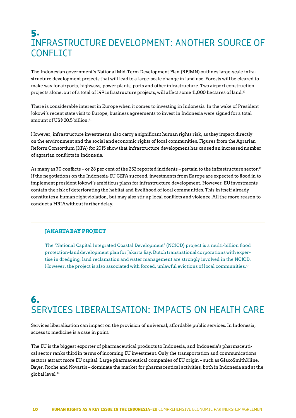## **5.**  INFRASTRUCTURE DEVELOPMENT: ANOTHER SOURCE OF **CONFLICT**

The Indonesian government's National Mid-Term Development Plan (RPJMN) outlines large-scale infrastructure development projects that will lead to a large-scale change in land use. Forests will be cleared to make way for airports, highways, power plants, ports and other infrastructure. Two airport construction projects alone, out of a total of 149 infrastructure projects, will affect some 11,000 hectares of land.<sup>40</sup>

There is considerable interest in Europe when it comes to investing in Indonesia. In the wake of President Jokowi's recent state visit to Europe, business agreements to invest in Indonesia were signed for a total amount of US\$ 20.5 billion.<sup>41</sup>

However, infrastructure investments also carry a significant human rights risk, as they impact directly on the environment and the social and economic rights of local communities. Figures from the Agrarian Reform Consortium (KPA) for 2015 show that infrastructure development has caused an increased number of agrarian conflicts in Indonesia.

As many as 70 conflicts – or 28 per cent of the 252 reported incidents – pertain to the infrastructure sector.<sup>42</sup> If the negotiations on the Indonesia-EU CEPA succeed, investments from Europe are expected to flood in to implement president Jokowi's ambitious plans for infrastructure development. However, EU investments contain the risk of deteriorating the habitat and livelihood of local communities. This in itself already constitutes a human right violation, but may also stir up local conflicts and violence. All the more reason to conduct a HRIA without further delay.

#### **JAKARTA BAY PROJECT**

The 'National Capital Integrated Coastal Development' (NCICD) project is a multi-billion flood protection-land development plan for Jakarta Bay. Dutch transnational corporations with expertise in dredging, land reclamation and water management are strongly involved in the NCICD. However, the project is also associated with forced, unlawful evictions of local communities.<sup>43</sup>

## **6.**  SERVICES LIBERALISATION: IMPACTS ON HEALTH CARE

Services liberalisation can impact on the provision of universal, affordable public services. In Indonesia, access to medicine is a case in point.

The EU is the biggest exporter of pharmaceutical products to Indonesia, and Indonesia's pharmaceutical sector ranks third in terms of incoming EU investment. Only the transportation and communications sectors attract more EU capital. Large pharmaceutical companies of EU origin – such as GlaxoSmithKline, Bayer, Roche and Novartis – dominate the market for pharmaceutical activities, both in Indonesia and at the global level.<sup>44</sup>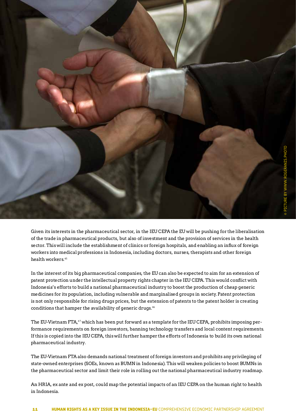

Given its interests in the pharmaceutical sector, in the IEU CEPA the EU will be pushing for the liberalisation of the trade in pharmaceutical products, but also of investment and the provision of services in the health sector. This will include the establishment of clinics or foreign hospitals, and enabling an influx of foreign workers into medical professions in Indonesia, including doctors, nurses, therapists and other foreign health workers.<sup>45</sup>

In the interest of its big pharmaceutical companies, the EU can also be expected to aim for an extension of patent protection under the intellectual property rights chapter in the IEU CEPA. This would conflict with Indonesia's efforts to build a national pharmaceutical industry to boost the production of cheap generic medicines for its population, including vulnerable and marginalised groups in society.Patent protection is not only responsible for rising drugs prices, but the extension of patents to the patent holder is creating conditions that hamper the availability of generic drugs.<sup>46</sup>

The EU-Vietnam FTA,<sup>47</sup> which has been put forward as a template for the IEU CEPA, prohibits imposing performance requirements on foreign investors, banning technology transfers and local content requirements. If this is copied into the IEU CEPA, this will further hamper the efforts of Indonesia to build its own national pharmaceutical industry.

The EU-Vietnam FTA also demands national treatment of foreign investors and prohibits any privileging of state-owned enterprises (SOEs, known as BUMN in Indonesia). This will weaken policies to boost BUMNs in the pharmaceutical sector and limit their role in rolling out the national pharmaceutical industry roadmap.

An HRIA, ex ante and ex post, could map the potential impacts of an IEU CEPA on the human right to health in Indonesia.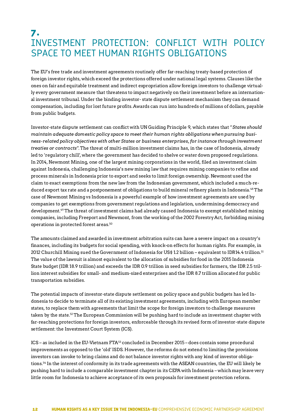## **7.**  INVESTMENT PROTECTION: CONFLICT WITH POLICY SPACE TO MEET HUMAN RIGHTS OBLIGATIONS

The EU's free trade and investment agreements routinely offer far-reaching treaty-based protection of foreign investor rights, which exceed the protections offered under national legal systems. Clauses like the ones on fair and equitable treatment and indirect expropriation allow foreign investors to challenge virtually every government measure that threatens to impact negatively on their investment before an international investment tribunal. Under the binding investor- state dispute settlement mechanism they can demand compensation, including for lost future profits. Awards can run into hundreds of millions of dollars, payable from public budgets.

Investor-state dispute settlement can conflict with UN Guiding Principle 9, which states that "*States should maintain adequate domestic policy space to meet their human rights obligations when pursuing business-related policy objectives with other States or business enterprises, for instance through investment treaties or contracts*". The threat of multi-million investment claims has, in the case of Indonesia, already led to 'regulatory chill', where the government has decided to shelve or water down proposed regulations. In 2014, Newmont Mining, one of the largest mining corporations in the world, filed an investment claim against Indonesia, challenging Indonesia's new mining law that requires mining companies to refine and process minerals in Indonesia prior to export and seeks to limit foreign ownership. Newmont used the claim to exact exemptions from the new law from the Indonesian government, which included a much-reduced export tax rate and a postponement of obligations to build mineral refinery plants in Indonesia.48 The case of Newmont Mining vs Indonesia is a powerful example of how investment agreements are used by companies to get exemptions from government regulations and legislation, undermining democracy and development.49 The threat of investment claims had already caused Indonesia to exempt established mining companies, including Freeport and Newmont, from the working of the 2002 Forestry Act, forbidding mining operations in protected forest areas.<sup>50</sup>

The amounts claimed and awarded in investment arbitration suits can have a severe impact on a country's finances, including its budgets for social spending, with knock-on effects for human rights. For example, in 2012 Churchill Mining sued the Government of Indonesia for US\$ 1.2 billion – equivalent to IDR14.4 trillion.51 The value of the lawsuit is almost equivalent to the allocation of subsidies for food in the 2015 Indonesia State budget (IDR 18.9 trillion) and exceeds the IDR 0.9 trillion in seed subsidies for farmers, the IDR 2.5 trillion interest subsidies for small- and medium-sized enterprises and the IDR 8.7 trillion allocated for public transportation subsidies.

The potential impacts of investor-state dispute settlement on policy space and public budgets has led Indonesia to decide to terminate all of its existing investment agreements, including with European member states, to replace them with agreements that limit the scope for foreign investors to challenge measures taken by the state.52 The European Commission will be pushing hard to include an investment chapter with far-reaching protections for foreign investors, enforceable through its revised form of investor-state dispute settlement: the Investment Court System (ICS).

ICS – as included in the EU-Vietnam FTA53 concluded in December 2015 – does contain some procedural improvements as opposed to the 'old' ISDS. However, the reforms do not extend to limiting the provisions investors can invoke to bring claims and do not balance investor rights with any kind of investor obligations.54 In the interest of conformity in its trade agreements with the ASEAN countries, the EU will likely be pushing hard to include a comparable investment chapter in its CEPA with Indonesia – which may leave very little room for Indonesia to achieve acceptance of its own proposals for investment protection reform.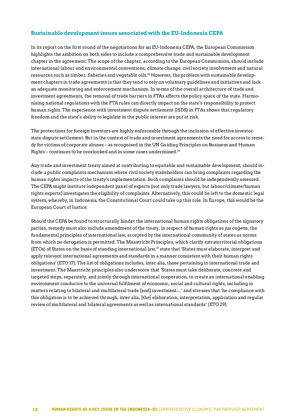#### **Sustainable development issues associated with the EU-Indonesia CEPA**

In its report on the first round of the negotiations for an EU-Indonesia CEPA, the European Commission highlights the ambition on both sides to include a comprehensive trade and sustainable development chapter in the agreement. The scope of the chapter, according to the European Commission, should include international labour and environmental conventions, climate change, civil society involvement and natural resources such as timber, fisheries and vegetable oils.55 However, the problem with sustainable development chapters in trade agreements is that they tend to rely on voluntary guidelines and initiatives and lack an adequate monitoring and enforcement mechanism. In terms of the overall architecture of trade and investment agreements, the removal of trade barriers in FTAs affects the policy space of the state. Harmonising national regulations with the FTA rules can directly impact on the state's responsibility to protect human rights. The experience with investment dispute settlement (ISDS) in FTAs shows that regulatory freedom and the state's ability to legislate in the public interest are put at risk.

The protections for foreign investors are highly enforceable through the inclusion of effective investorstate dispute settlement. But in the context of trade and investment agreements the need for access to remedy for victims of corporate abuses – as recognised in the UN Guiding Principles on Business and Human Rights – continues to be overlooked and in some cases undermined.56

Any trade and investment treaty aimed at contributing to equitable and sustainable development, should include a public complaints mechanism where civil society stakeholders can bring complaints regarding the human rights impacts of the treaty's implementation. Such complaints should be independently assessed. The CEPA might institute independent panel of experts (not only trade lawyers, but labour/climate/human rights experts) investigates the eligibility of complaints. Alternatively, this could be left to the domestic legal system, whereby, in Indonesia, the Constitutional Court could take up this role. In Europe, this would be the European Court of Justice.

Should the CEPA be found to structurally hinder the international human rights obligations of the signatory parties, remedy must also include amendment of the treaty, in respect of human rights as *jus cogens*, the fundamental principles of international law, accepted by the international community of states as norms from which no derogation is permitted. The Maastricht Principles, which clarify extraterritorial obligations (ETOs) of States on the basis of standing international law,57 state that 'States must elaborate, interpret and apply relevant international agreements and standards in a manner consistent with their human rights obligations' (ETO 17). The list of obligations includes, inter alia, those pertaining to international trade and investment. The Maastricht principles also underscore that 'States must take deliberate, concrete and targeted steps, separately, and jointly through international cooperation, to create an international enabling environment conducive to the universal fulfilment of economic, social and cultural rights, including in matters relating to bilateral and multilateral trade [and] investment…' and stresses that 'he compliance with this obligation is to be achieved through, inter alia, [the] elaboration, interpretation, application and regular review of multilateral and bilateral agreements as well as international standards' (ETO 29).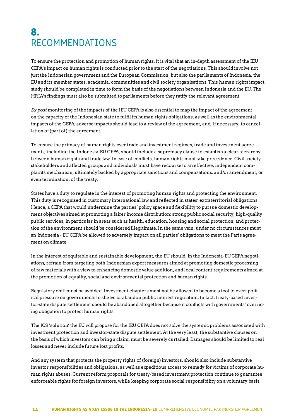## **8.**  RECOMMENDATIONS

To ensure the protection and promotion of human rights, it is vital that an in-depth assessment of the IEU CEPA's impact on human rights is conducted prior to the start of the negotiations. This should involve not just the Indonesian government and the European Commission, but also the parliaments of Indonesia, the EU and its member states, academia, communities and civil society organisations. This human rights impact study should be completed in time to form the basis of the negotiations between Indonesia and the EU. The HRIA's findings must also be submitted to parliaments before they ratify the relevant agreement.

*Ex post* monitoring of the impacts of the IEU CEPA is also essential to map the impact of the agreement on the capacity of the Indonesian state to fulfil its human rights obligations, as well as the environmental impacts of the CEPA; adverse impacts should lead to a review of the agreement, and, if necessary, to cancellation of (part of) the agreement.

To ensure the primacy of human rights over trade and investment regimes, trade and investment agreements, including the Indonesia-EU CEPA, should include a supremacy clause to establish a clear hierarchy between human rights and trade law. In case of conflicts, human rights must take precedence. Civil society stakeholders and affected groups and individuals must have recourse to an effective, independent complaints mechanism, ultimately backed by appropriate sanctions and compensations, and/or amendment, or even termination, of the treaty.

States have a duty to regulate in the interest of promoting human rights and protecting the environment. This duty is recognised in customary international law and reflected in states' extraterritorial obligations. Hence, a CEPA that would undermine the parties' policy space and flexibility to pursue domestic development objectives aimed at promoting a fairer income distribution; strong public social security; high-quality public services, in particular in areas such as health, education, housing and social protection; and protection of the environment should be considered illegitimate. In the same vein, under no circumstances must an Indonesia - EU CEPA be allowed to adversely impact on all parties' obligations to meet the Paris agreement on climate.

In the interest of equitable and sustainable development, the EU should, in the Indonesia-EU CEPA negotiations, refrain from targeting both Indonesian export measures aimed at promoting domestic processing of raw materials with a view to enhancing domestic value addition, and local content requirements aimed at the promotion of equality, social and environmental protection and human rights.

Regulatory chill must be avoided. Investment chapters must not be allowed to become a tool to exert political pressure on governments to shelve or abandon public interest regulation. In fact, treaty-based investor-state dispute settlement should be abandoned altogether because it conflicts with governments' overriding obligation to protect human rights.

The ICS 'solution' the EU will propose for the IEU CEPA does not solve the systemic problems associated with investment protection and investor-state dispute settlement. At the very least, the substantive clauses on the basis of which investors can bring a claim, must be severely curtailed. Damages should be limited to real losses and never include future lost profits.

And any system that protects the property rights of (foreign) investors, should also include substantive investor responsibilities and obligations, as well as expeditious access to remedy for victims of corporate human rights abuses. Current reform proposals for treaty-based investment protection continue to guarantee enforceable rights for foreign investors, while keeping corporate social responsibility on a voluntary basis.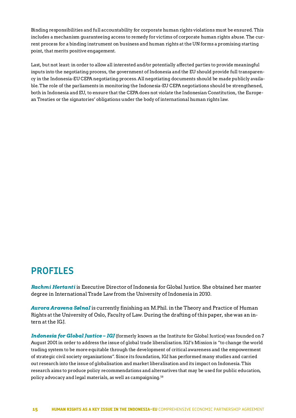Binding responsibilities and full accountability for corporate human rights violations must be ensured. This includes a mechanism guaranteeing access to remedy for victims of corporate human rights abuse. The current process for a binding instrument on business and human rights at the UN forms a promising starting point, that merits positive engagement.

Last, but not least: in order to allow all interested and/or potentially affected parties to provide meaningful inputs into the negotiating process, the government of Indonesia and the EU should provide full transparency in the Indonesia-EU CEPA negotiating process. All negotiating documents should be made publicly available. The role of the parliaments in monitoring the Indonesia-EU CEPA negotiations should be strengthened, both in Indonesia and EU, to ensure that the CEPA does not violate the Indonesian Constitution, the European Treaties or the signatories' obligations under the body of international human rights law.

## **PROFILES**

*Rachmi Hertanti* is Executive Director of Indonesia for Global Justice. She obtained her master degree in International Trade Law from the University of Indonesia in 2010.

*Aurora Aravena SølnaI* is currently finishing an M.Phil. in the Theory and Practice of Human Rights at the University of Oslo, Faculty of Law. During the drafting of this paper, she was an intern at the IGJ.

*Indonesia for Global Justice– IGJ* (formerly known as the Institute for Global Justice) was founded on 7 August 2001 in order to address the issue of global trade liberalisation. IGJ's Mission is "to change the world trading system to be more equitable through the development of critical awareness and the empowerment of strategic civil society organizations". Since its foundation, IGJ has performed many studies and carried out research into the issue of globalisation and market liberalisation and its impact on Indonesia. This research aims to produce policy recommendations and alternatives that may be used for public education, policy advocacy and legal materials, as well as campaigning.58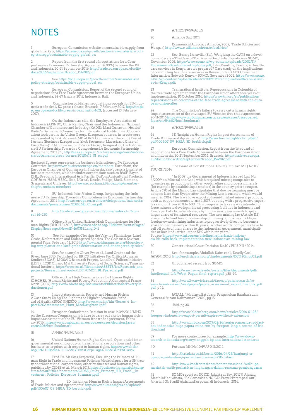## **NOTES**

1<br>global markets, [https://ec.europa.eu/growth/sectors/raw-materials/poli](https://ec.europa.eu/growth/sectors/raw-materials/policy-strategy/sustainable-supply-global_en)-<br>global markets, https://ec.europa.eu/growth/sectors/raw-materials/poli-<br>[cy-strategy/sustainable-supply-global\\_en](https://ec.europa.eu/growth/sectors/raw-materials/policy-strategy/sustainable-supply-global_en)

Report from the first round of negotiations for a Comprehensive Economic Partnership Agreement (CEPA) between the EU<br>and Indonesia, 20-21 September 2016, [http://trade.ec.europa.eu/doclib/](http://trade.ec.europa.eu/doclib/docs/2016/september/tradoc_154982.pdf)<br>docs/2016/september/tradoc\_154982.

3 See [https://ec.europa.eu/growth/sectors/raw-materials/](https://ec.europa.eu/growth/sectors/raw-materials/policy-strategy/sustainable-supply-global_en) [policy-strategy/sustainable-supply-global\\_en](https://ec.europa.eu/growth/sectors/raw-materials/policy-strategy/sustainable-supply-global_en)

4 European Commission, Report of the second round of negotiations for a Free Trade Agreement between the European Union and Indonesia, 24-27 January 2017, Indonesia, Bali.

5 Commission publishes negotiating proposals for EU-Indo-nesia trade deal', EC press release, Brussels, 7 February 2017, [http://trade.](http://trade.ec.europa.eu/doclib/press/index.cfm?id=1621) [ec.europa.eu/doclib/press/index.cfm?id=1621](http://trade.ec.europa.eu/doclib/press/index.cfm?id=1621); (accessed 13 February 2017).

6 On the Indonesian side, the Employers' Association of<br>Indonesia (APINDO; Chris Kanter, Chair) and the Indonesian National<br>Chamber of Commerce and Industry (KADIN; Maxi Gunawan, Head of<br>Kadin's Permanent Committee for Int ation) took part in the Vision Group. European business interests were represented by Erik Versavel (MD of ING Commercial Banking); Pascal Kerneis (Business Europe) and Jakob Sorensen (Maersk and Chair of<br>EuroCham): EU-Indonesia Joint Vision Group, Invigorating the Indone-<br>sia-EU Partnership: Towards a Comprehensive Economic Partnership<br>Agreement, 2011, p5, h

Business Europe represents the business federations of 34 European<br>Countries: [https://www.businesseurope.eu/members.](https://www.businesseurope.eu/members) Eurocham, the<br>European Chamber of Commerce in Indonesia, also boasts a long list of<br>business members, whi Syngenta and Unilever: [http://www.eurocham.id/index.php/member](http://www.eurocham.id/index.php/membership/eurocham-members)-[ship/eurocham-members](http://www.eurocham.id/index.php/membership/eurocham-members)

7 EU-Indonesia Joint Vision Group, Invigorating the Indo-nesia-EU Partnership: Towards a Comprehensive Economic Partnership Agreement, 2011, [http://eeas.europa.eu/archives/delegations/indonesia/](http://eeas.europa.eu/archives/delegations/indonesia/documents/press_corner/20110615_01_en.pdf) [documents/press\\_corner/20110615\\_01\\_en.pdf](http://eeas.europa.eu/archives/delegations/indonesia/documents/press_corner/20110615_01_en.pdf) 

[http://trade.ec.europa.eu/consultations/index.cfm?con](http://trade.ec.europa.eu/consultations/index.cfm?consul_id=220)[sul\\_id=220](http://trade.ec.europa.eu/consultations/index.cfm?consul_id=220)

9 Office of the United Nations High Commissioner for Human Rights (OHCHR) 2015, [http://www.ohchr.org/FR/NewsEvents/Pages/](http://www.ohchr.org/FR/NewsEvents/Pages/DisplayNews.aspx?NewsID=16031&LangID=E) [DisplayNews.aspx?NewsID=16031&LangID=E](http://www.ohchr.org/FR/NewsEvents/Pages/DisplayNews.aspx?NewsID=16031&LangID=E)

10 See, for example: Clearing the Way for Plantations: Land Grabs, Deforestation and Endangered Species, The Goldman Environ-mental Prize, February 11, 2015 [http://www.goldmanprize.org/blog/clear](http://www.goldmanprize.org/blog/clearing-way-plantations-land-grabs-deforestation-and-endangered-species/)[ing-way-plantations-land-grabs-deforestation-and-endangered-species/](http://www.goldmanprize.org/blog/clearing-way-plantations-land-grabs-deforestation-and-endangered-species/)

11 See, for example: Oliver Pye et al., Land Grabs and the<br>River, June 2015. Published by: BRICS Initiatives For Critical Agrarian<br>Studies (BICAS), MOSAIC Research Project, Land Deal Politics Initiative<br>(LDPI), RCSD Chiang [projects/Research\\_networks/LDPI/CMCP\\_81\\_Pye\\_et\\_al.pdf](https://www.iss.nl/fileadmin/ASSETS/iss/Research_and_projects/Research_networks/LDPI/CMCP_81_Pye_et_al.pdf)

12 Office of the High Commissioner for Human Rights (OHCHR), 'Human Rights and Poverty Reduction: A Conceptual Frame-work' (2004) [http://www.ohchr.org/Documents/Publications/PovertyRe](http://www.ohchr.org/Documents/Publications/PovertyReductionen.pdf)[ductionen.pdf](http://www.ohchr.org/Documents/Publications/PovertyReductionen.pdf)

13 Impact Assessments, Poverty and Human Rights: A Case Study Using The Right to the Highest Attainable Stand-ard of Health (2006) UNESCO, [http://www.who.int/hhr/Series\\_6\\_Im](http://www.who.int/hhr/Series_6_Impact%20Assessments_Hunt_MacNaughton1.pdf)-[pact%20Assessments\\_Hunt\\_MacNaughton1.pdf](http://www.who.int/hhr/Series_6_Impact%20Assessments_Hunt_MacNaughton1.pdf)

14 European Ombudsman,Decision in case 1409/2014/MHZ on the European Commission's failure to carry out a prior human rights<br>impact assessment of the EU-Vietnam free trade agreement, Febru-<br>ary 2016. [https://www.ombudsman.europa.eu/cases/decision.faces/](https://www.ombudsman.europa.eu/cases/decision.faces/en/64308/html.bookmark) [en/64308/html.bookmark](https://www.ombudsman.europa.eu/cases/decision.faces/en/64308/html.bookmark)

15 A/HRC/19/59/Add.5

United Nations Human Rights Council, Open-ended intergovernmental working group on transnational corporations and other<br>business enterprises with respect to human rights, [http://www.ohchr.](http://www.ohchr.org/EN/HRBodies/HRC/WGTransCorp/Pages/IGWGOnTNC.aspx)<br>[org/EN/HRBodies/HRC/WGTransCorp/Pages/IGWGOnTNC.aspx](http://www.ohchr.org/EN/HRBodies/HRC/WGTransCorp/Pages/IGWGOnTNC.aspx)

17<br>man Right in Trade and Investment Policies: Model clauses for a UN trea-<br>ty on transnational corporations, other businesses and human rights,<br>ty on transnational corporations, other businesses and human rights, published by CIDSE et al., March 2017. [https://business-humanrights.org/](https://business-humanrights.org/sites/default/files/documents/CIDSE_Study_Primacy_HR_Trade__Investment_Policies_Executive_Summary.pdf)<br>[sites/default/files/documents/CIDSE\\_Study\\_Primacy\\_HR\\_Trade\\_\\_In](https://business-humanrights.org/sites/default/files/documents/CIDSE_Study_Primacy_HR_Trade__Investment_Policies_Executive_Summary.pdf)-<br>[vestment\\_Policies\\_Executive\\_Summary.pdf](https://business-humanrights.org/sites/default/files/documents/CIDSE_Study_Primacy_HR_Trade__Investment_Policies_Executive_Summary.pdf)

18 3D 'Insight on Human Rights Impact Assessments of Trade Policies and Agreements' [http://www.humanrights.ch/upload/](http://www.humanrights.ch/upload/pdf/100607_09_HRIA_3D_berblick.pdf) [pdf/100607\\_09\\_HRIA\\_3D\\_berblick.pdf](http://www.humanrights.ch/upload/pdf/100607_09_HRIA_3D_berblick.pdf)

19 A/HRC/19/59/Add.5

20 Alliance Sud, 2011.

Ecumenical Advocacy Alliance, 2007, 'Trade Policies and Hunger', <http://www.e-alliance.ch/en/s/food/rice/>

22 See: Benny Kuruvilla (Ed.), Weighing the GATS on a development scale – The Case of Tourism in Goa, India, Equations – SOMO,<br>November 2002, [https://www.somo.nl/wp-content/uploads/2002/11/](https://mail.somo.nl/owa/redir.aspx?REF=lSNQnudDn5eOvRmTU2BJaQNxca7BMtsjIblGkVK8Aak9uVHi-VPUCAFodHRwczovL3d3dy5zb21vLm5sL3dwLWNvbnRlbnQvdXBsb2Fkcy8yMDAyLzExL1RvdXJpc20taW4tR29hLUluZGlhLXdpdGgtcGhvdG9zLnBkZg..)<br>[Tourism-in-Goa-India-with-photos.pdf](https://mail.somo.nl/owa/redir.aspx?REF=lSNQnudDn5eOvRmTU2BJaQNxca7BMtsjIblGkVK8Aak9uVHi-VPUCAFodHRwczovL3d3dy5zb21vLm5sL3dwLWNvbnRlbnQvdXBsb2Fkcy8yMDAyLzExL1RvdXJpc20taW4tR29hLUluZGlhLXdpdGgtcGhvdG9zLnBkZg..); John Kinuthia, Trading in healthcare services in Kenya, are we prepared? Case study on the implications of committing healthcare services in Kenya under GATS, Consumer Information Network Kenya – SOMO, November 2002, [https://www.somo.](https://mail.somo.nl/owa/redir.aspx?REF=TpLe3xoMX06TFrwnACXwLsFSYCR3qRVKufw1ssEI6DM9uVHi-VPUCAFodHRwczovL3d3dy5zb21vLm5sL25sL3dwLWNvbnRlbnQvdXBsb2Fkcy9zaXRlcy8yLzIwMDIvMTEvVHJhZGluZy1pbi1oZWFsdGhjYXJlLXNlcnZpY2VzLWluLUtlbnlhLnBkZg..) [nl/nl/wp-content/uploads/sites/2/2002/11/Trading-in-healthcare-servic](https://mail.somo.nl/owa/redir.aspx?REF=TpLe3xoMX06TFrwnACXwLsFSYCR3qRVKufw1ssEI6DM9uVHi-VPUCAFodHRwczovL3d3dy5zb21vLm5sL25sL3dwLWNvbnRlbnQvdXBsb2Fkcy9zaXRlcy8yLzIwMDIvMTEvVHJhZGluZy1pbi1oZWFsdGhjYXJlLXNlcnZpY2VzLWluLUtlbnlhLnBkZg..)-[es-in-Kenya.pdf;](https://mail.somo.nl/owa/redir.aspx?REF=TpLe3xoMX06TFrwnACXwLsFSYCR3qRVKufw1ssEI6DM9uVHi-VPUCAFodHRwczovL3d3dy5zb21vLm5sL25sL3dwLWNvbnRlbnQvdXBsb2Fkcy9zaXRlcy8yLzIwMDIvMTEvVHJhZGluZy1pbi1oZWFsdGhjYXJlLXNlcnZpY2VzLWluLUtlbnlhLnBkZg..)

23 Transnational Institute, Repercussions in Colombia of the free trade agreement with the European Union after three years of implementation, 10 October 2016, [https://www.tni.org/en/publication/](https://www.tni.org/en/publication/repercussions-in-colombia-of-the-free-trade-agreement-with-the-european-union-after) [repercussions-in-colombia-of-the-free-trade-agreement-with-the-euro](https://www.tni.org/en/publication/repercussions-in-colombia-of-the-free-trade-agreement-with-the-european-union-after)[pean-union-after](https://www.tni.org/en/publication/repercussions-in-colombia-of-the-free-trade-agreement-with-the-european-union-after)

24 The Commission's failure to carry out a human rights impact assessment of the envisaged EU-Vietnam free trade agreement, 26-11-2016 [https://www.ombudsman.europa.eu/en/cases/caseopened.](https://www.ombudsman.europa.eu/en/cases/caseopened.faces/en/54682/html.bookmark) [faces/en/54682/html.bookmark](https://www.ombudsman.europa.eu/en/cases/caseopened.faces/en/54682/html.bookmark)

25 A/HRC/19/59/Add.5

26 3D 'Insight on Human Rights Impact Assessments of Trade Policies and Agreements', [http://www.humanrights.ch/upload/](http://www.humanrights.ch/upload/pdf/100607_09_HRIA_3D_berblick.pdf) [pdf/100607\\_09\\_HRIA\\_3D\\_berblick.pdf](http://www.humanrights.ch/upload/pdf/100607_09_HRIA_3D_berblick.pdf)

27 European Commission, Report from the 1st round of<br>negotiations for a Free Trade Agreement between the European Union<br>and Indonesia, 20-21 September 2016, Brussels, [http://trade.ec.europa.](http://trade.ec.europa.eu/doclib/docs/2016/september/tradoc_154982.pdf)<br>eu/doclib/docs/2016/september/t

The award of Constitutional Court (Putusan MK) No.10/ PUU-XII/2014

<sup>29</sup> "In 2009 the Government of Indonesia issued Law No.<br>4/2009 on Mineral and Coal, which required mining companies to<br>downstream production, in other words refine and process minerals<br>(for example by establishing a smelt mean in 2014. The law allows exports of semi-finished mineral products,<br>such as copper concentrate, until 2017, but only with a progressive export<br>tax ranging from 20% to 60%. This progressive tax rate was intended to<br>forc forms part of a broader strategy by Indonesian governments to get a<br>larger share of its mineral resources. The new mining law (Article 112)<br>also aims to limit foreign ownership of mining companies: it obliges<br>foreign-owned ties or local industries – up to 51% within ten years."<br>Source: [https://www.tni.org/en/briefing/netherlands-indone](https://www.tni.org/en/briefing/netherlands-indonesia-bit-rolls-back-implementation-new-indonesian-mining-law)-<br>[sia-bit-rolls-back-implementation-new-indonesian-mining-law](https://www.tni.org/en/briefing/netherlands-indonesia-bit-rolls-back-implementation-new-indonesian-mining-law)

30 Constitutional Court Decision No.10 / PUU-XII / 2014.

31 See, for example, Abdullah Naim et al., Deadly Coal, JATAM, 2010, <http://english.jatam.org/dmdocuments/DC%20ingg02.pdf>

32 Unpublished research by SOMO.

33 [https://www.law.yale.edu/system/files/documents/pdf/](https://www.law.yale.edu/system/files/documents/pdf/Intellectual_Life/West_Papua_final_report.pdf) [Intellectual\\_Life/West\\_Papua\\_final\\_report.pdf](https://www.law.yale.edu/system/files/documents/pdf/Intellectual_Life/West_Papua_final_report.pdf), p38-49.

34 [http://www2.warwick.ac.uk/fac/soc/pais/research/re](	http://www2.warwick.ac.uk/fac/soc/pais/research/researchcentres/ierg/westpapua/papua_assessment_report_final_uk_pdf.pdf)[searchcentres/ierg/westpapua/papua\\_assessment\\_report\\_final\\_uk\\_pdf.](	http://www2.warwick.ac.uk/fac/soc/pais/research/researchcentres/ierg/westpapua/papua_assessment_report_final_uk_pdf.pdf) [pdf,](	http://www2.warwick.ac.uk/fac/soc/pais/research/researchcentres/ierg/westpapua/papua_assessment_report_final_uk_pdf.pdf) p 19.

35 JATAM, "Mautnya Batubara: Pengerukan Batubara dan Generasi Suram Kalimantan", 2010, pg 15

36 Ibid, pg.30.

37 [https://www.bloomberg.com/news/articles/2016-01-28/](https://www.bloomberg.com/news/articles/2016-01-28/freeport-indonesia-s-export-permit-expires-without-extension) [freeport-indonesia-s-export-permit-expires-without-extension](https://www.bloomberg.com/news/articles/2016-01-28/freeport-indonesia-s-export-permit-expires-without-extension)

38 [http://www.cnbc.com/2017/02/26/reuters-america-rpt-fact](http://www.cnbc.com/2017/02/26/reuters-america-rpt-factbox-indonesias-huge-papua-mine-run-by-freeport-long-a-source-of-friction.html)[box-indonesias-huge-papua-mine-run-by-freeport-long-a-source-of-fric](http://www.cnbc.com/2017/02/26/reuters-america-rpt-factbox-indonesias-huge-papua-mine-run-by-freeport-long-a-source-of-friction.html)[tion.html](http://www.cnbc.com/2017/02/26/reuters-america-rpt-factbox-indonesias-huge-papua-mine-run-by-freeport-long-a-source-of-friction.html) 

39 For more context, see, for example: http://www.down-toearth-indonesia.org/story/tangguh-bp-and-international-standards

40 Putusan MK No.10/PUU-XII/2014.

[http://katadata.co.id/berita/2016/04/25/kunjungi-er](http://katadata.co.id/berita/2016/04/25/kunjungi-eropa-jokowi-kantongi-perjanjian-bisnis-rp-270-triliun)[opa-jokowi-kantongi-perjanjian-bisnis-rp-270-triliun](http://katadata.co.id/berita/2016/04/25/kunjungi-eropa-jokowi-kantongi-perjanjian-bisnis-rp-270-triliun)

42 [http://www.konfrontasi.com/content/nasional/walhi-pe](https://www.konfrontasi.com/content/nasional/walhi-pemerintah-wajib-perhatikan-lingkungan-dalam-rencana-pembangunan)[merintah-wajib-perhatikan-lingkungan-dalam-rencana-pembangunan](https://www.konfrontasi.com/content/nasional/walhi-pemerintah-wajib-perhatikan-lingkungan-dalam-rencana-pembangunan)

43 SOMO report on NCICD, Jakarta at Bay, 2017 & Ahmad MarthinHadiwinata, "Reklamasidan NCICD: ProyekPerampasLaut", Jakarta, IGJ: StudiKejahatanKorporasi di Indonesia, 2016.